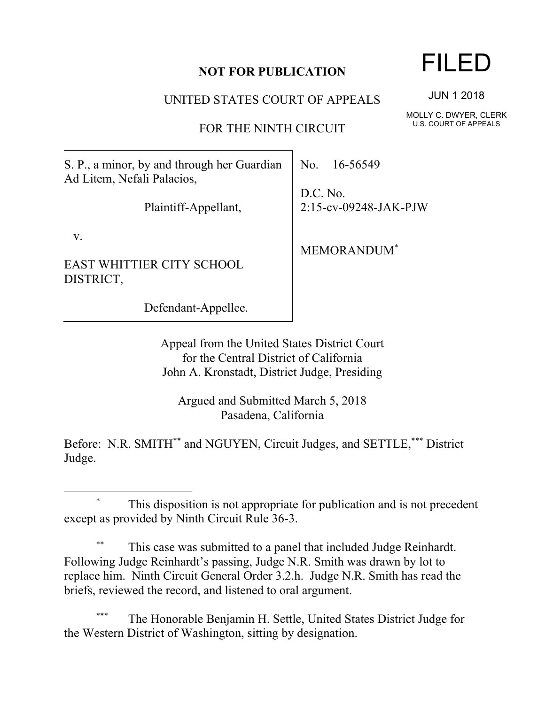## **NOT FOR PUBLICATION**

UNITED STATES COURT OF APPEALS

FOR THE NINTH CIRCUIT

S. P., a minor, by and through her Guardian Ad Litem, Nefali Palacios,

Plaintiff-Appellant,

v.

 $\overline{a}$ 

EAST WHITTIER CITY SCHOOL DISTRICT,

Defendant-Appellee.

No. 16-56549

D.C. No. 2:15-cv-09248-JAK-PJW

MEMORANDUM\*

Appeal from the United States District Court for the Central District of California John A. Kronstadt, District Judge, Presiding

Argued and Submitted March 5, 2018 Pasadena, California

Before: N.R. SMITH\*\* and NGUYEN, Circuit Judges, and SETTLE,\*\*\* District Judge.

This disposition is not appropriate for publication and is not precedent except as provided by Ninth Circuit Rule 36-3.

This case was submitted to a panel that included Judge Reinhardt. Following Judge Reinhardt's passing, Judge N.R. Smith was drawn by lot to replace him. Ninth Circuit General Order 3.2.h. Judge N.R. Smith has read the briefs, reviewed the record, and listened to oral argument.

The Honorable Benjamin H. Settle, United States District Judge for the Western District of Washington, sitting by designation.

## FILED

JUN 1 2018

MOLLY C. DWYER, CLERK U.S. COURT OF APPEALS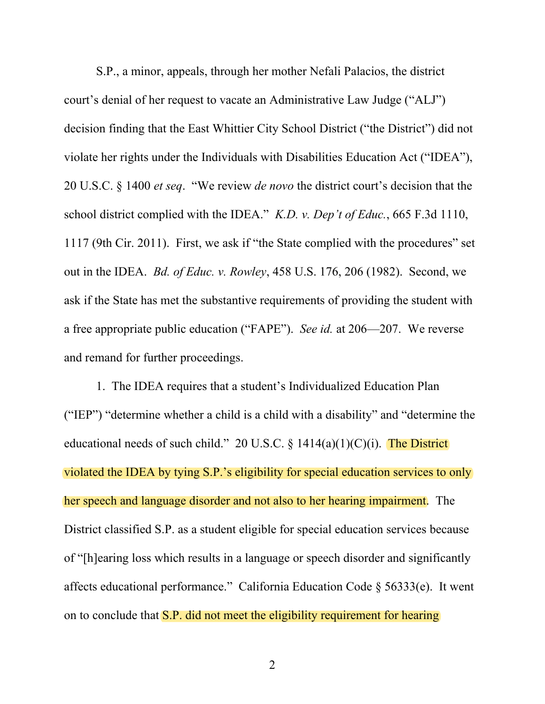S.P., a minor, appeals, through her mother Nefali Palacios, the district court's denial of her request to vacate an Administrative Law Judge ("ALJ") decision finding that the East Whittier City School District ("the District") did not violate her rights under the Individuals with Disabilities Education Act ("IDEA"), 20 U.S.C. § 1400 *et seq*. "We review *de novo* the district court's decision that the school district complied with the IDEA." *K.D. v. Dep't of Educ.*, 665 F.3d 1110, 1117 (9th Cir. 2011). First, we ask if "the State complied with the procedures" set out in the IDEA. *Bd. of Educ. v. Rowley*, 458 U.S. 176, 206 (1982). Second, we ask if the State has met the substantive requirements of providing the student with a free appropriate public education ("FAPE"). *See id.* at 206—207. We reverse and remand for further proceedings.

1. The IDEA requires that a student's Individualized Education Plan ("IEP") "determine whether a child is a child with a disability" and "determine the educational needs of such child." 20 U.S.C.  $\S$  1414(a)(1)(C)(i). The District violated the IDEA by tying S.P.'s eligibility for special education services to only her speech and language disorder and not also to her hearing impairment. The District classified S.P. as a student eligible for special education services because of "[h]earing loss which results in a language or speech disorder and significantly affects educational performance." California Education Code § 56333(e).It went on to conclude that **S.P.** did not meet the eligibility requirement for hearing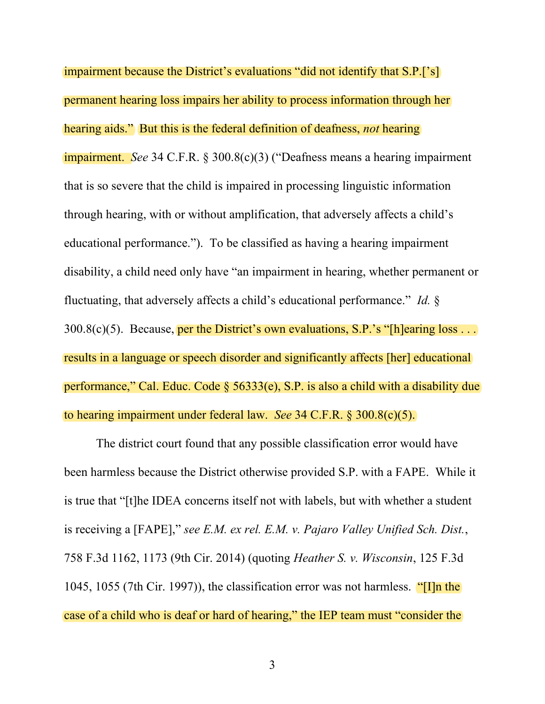impairment because the District's evaluations "did not identify that S.P.['s] permanent hearing loss impairs her ability to process information through her hearing aids." But this is the federal definition of deafness, *not* hearing impairment. *See* 34 C.F.R. § 300.8(c)(3) ("Deafness means a hearing impairment that is so severe that the child is impaired in processing linguistic information through hearing, with or without amplification, that adversely affects a child's educational performance."). To be classified as having a hearing impairment disability, a child need only have "an impairment in hearing, whether permanent or fluctuating, that adversely affects a child's educational performance." *Id.* §  $300.8(c)(5)$ . Because, per the District's own evaluations, S.P.'s "[h]earing loss ... results in a language or speech disorder and significantly affects [her] educational performance," Cal. Educ. Code  $\S$  56333(e), S.P. is also a child with a disability due to hearing impairment under federal law. *See* 34 C.F.R. § 300.8(c)(5).

The district court found that any possible classification error would have been harmless because the District otherwise provided S.P. with a FAPE. While it is true that "[t]he IDEA concerns itself not with labels, but with whether a student is receiving a [FAPE]," *see E.M. ex rel. E.M. v. Pajaro Valley Unified Sch. Dist.*, 758 F.3d 1162, 1173 (9th Cir. 2014) (quoting *Heather S. v. Wisconsin*, 125 F.3d 1045, 1055 (7th Cir. 1997)), the classification error was not harmless. "[I]n the case of a child who is deaf or hard of hearing," the IEP team must "consider the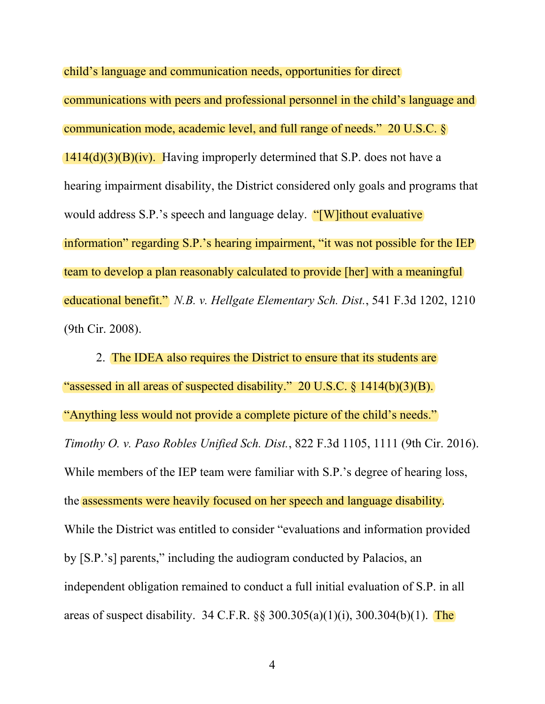child's language and communication needs, opportunities for direct communications with peers and professional personnel in the child's language and communication mode, academic level, and full range of needs." 20 U.S.C. §  $1414(d)(3)(B)(iv)$ . Having improperly determined that S.P. does not have a hearing impairment disability, the District considered only goals and programs that would address S.P.'s speech and language delay. "[W]ithout evaluative information" regarding S.P.'s hearing impairment, "it was not possible for the IEP team to develop a plan reasonably calculated to provide [her] with a meaningful educational benefit." *N.B. v. Hellgate Elementary Sch. Dist.*, 541 F.3d 1202, 1210 (9th Cir. 2008).

2. The IDEA also requires the District to ensure that its students are "assessed in all areas of suspected disability." 20 U.S.C. § 1414(b)(3)(B). "Anything less would not provide a complete picture of the child's needs." *Timothy O. v. Paso Robles Unified Sch. Dist.*, 822 F.3d 1105, 1111 (9th Cir. 2016). While members of the IEP team were familiar with S.P.'s degree of hearing loss, the assessments were heavily focused on her speech and language disability. While the District was entitled to consider "evaluations and information provided by [S.P.'s] parents," including the audiogram conducted by Palacios, an independent obligation remained to conduct a full initial evaluation of S.P. in all areas of suspect disability. 34 C.F.R.  $\S$ § 300.305(a)(1)(i), 300.304(b)(1). The

4